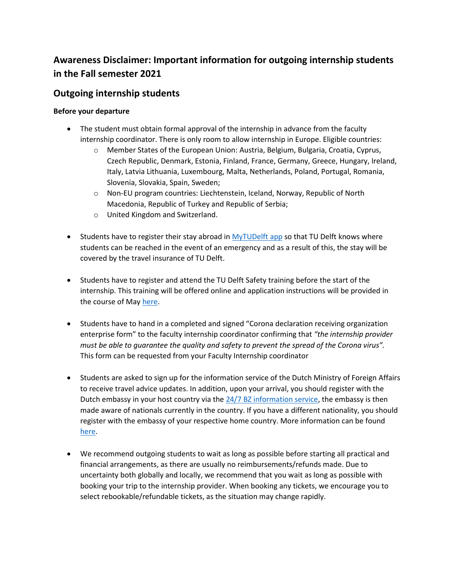# **Awareness Disclaimer: Important information for outgoing internship students in the Fall semester 2021**

## **Outgoing internship students**

### **Before your departure**

- The student must obtain formal approval of the internship in advance from the faculty internship coordinator. There is only room to allow internship in Europe. Eligible countries:
	- o Member States of the European Union: Austria, Belgium, Bulgaria, Croatia, Cyprus, Czech Republic, Denmark, Estonia, Finland, France, Germany, Greece, Hungary, Ireland, Italy, Latvia Lithuania, Luxembourg, Malta, Netherlands, Poland, Portugal, Romania, Slovenia, Slovakia, Spain, Sweden;
	- o Non-EU program countries: Liechtenstein, Iceland, Norway, Republic of North Macedonia, Republic of Turkey and Republic of Serbia;
	- o United Kingdom and Switzerland.
- Students have to register their stay abroad in [MyTUDelft app](http://my.tudelft.nl/) so that TU Delft knows where students can be reached in the event of an emergency and as a result of this, the stay will be covered by the travel insurance of TU Delft.
- Students have to register and attend the TU Delft Safety training before the start of the internship. This training will be offered online and application instructions will be provided in the course of Ma[y here.](https://www.tudelft.nl/en/student/study-and-career/study-internship-abroad/safety-insurance-vaccinations)
- Students have to hand in a completed and signed "Corona declaration receiving organization enterprise form" to the faculty internship coordinator confirming that *"the internship provider must be able to guarantee the quality and safety to prevent the spread of the Corona virus".*  This form can be requested from your Faculty Internship coordinator
- Students are asked to sign up for the information service of the Dutch Ministry of Foreign Affairs to receive travel advice updates. In addition, upon your arrival, you should register with the Dutch embassy in your host country via the  $24/7$  BZ information service, the embassy is then made aware of nationals currently in the country. If you have a different nationality, you should register with the embassy of your respective home country. More information can be found [here.](https://d2k0ddhflgrk1i.cloudfront.net/Studentenportal/Centraal/Academische%20ondersteuning/Study%20%26%20Internship%20Abroad/Safety%2C%20Insurance%20%26%20Vaccinations/20191015-Travel-instructie-card.pdf)
- We recommend outgoing students to wait as long as possible before starting all practical and financial arrangements, as there are usually no reimbursements/refunds made. Due to uncertainty both globally and locally, we recommend that you wait as long as possible with booking your trip to the internship provider. When booking any tickets, we encourage you to select rebookable/refundable tickets, as the situation may change rapidly.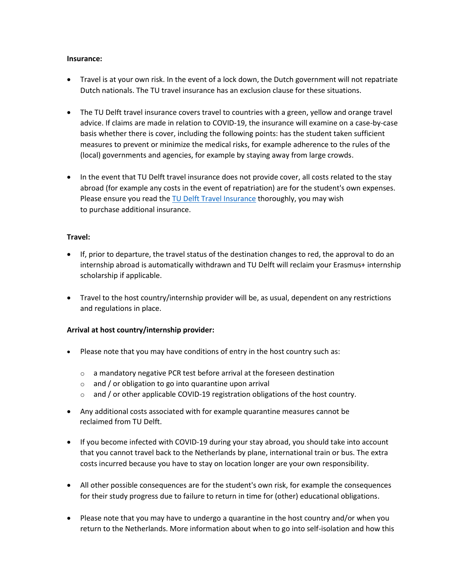#### **Insurance:**

- Travel is at your own risk. In the event of a lock down, the Dutch government will not repatriate Dutch nationals. The TU travel insurance has an exclusion clause for these situations.
- The TU Delft travel insurance covers travel to countries with a green, yellow and orange travel advice. If claims are made in relation to COVID-19, the insurance will examine on a case-by-case basis whether there is cover, including the following points: has the student taken sufficient measures to prevent or minimize the medical risks, for example adherence to the rules of the (local) governments and agencies, for example by staying away from large crowds.
- In the event that TU Delft travel insurance does not provide cover, all costs related to the stay abroad (for example any costs in the event of repatriation) are for the student's own expenses. Please ensure you read th[e TU Delft Travel Insurance](https://www.tudelft.nl/en/student/study-and-career/study-internship-abroad/safety-insurance-vaccinations) thoroughly, you may wish to purchase additional insurance.

#### **Travel:**

- If, prior to departure, the travel status of the destination changes to red, the approval to do an internship abroad is automatically withdrawn and TU Delft will reclaim your Erasmus+ internship scholarship if applicable.
- Travel to the host country/internship provider will be, as usual, dependent on any restrictions and regulations in place.

#### **Arrival at host country/internship provider:**

- Please note that you may have conditions of entry in the host country such as:
	- o a mandatory negative PCR test before arrival at the foreseen destination
	- o and / or obligation to go into quarantine upon arrival
	- o and / or other applicable COVID-19 registration obligations of the host country.
- Any additional costs associated with for example quarantine measures cannot be reclaimed from TU Delft.
- If you become infected with COVID-19 during your stay abroad, you should take into account that you cannot travel back to the Netherlands by plane, international train or bus. The extra costs incurred because you have to stay on location longer are your own responsibility.
- All other possible consequences are for the student's own risk, for example the consequences for their study progress due to failure to return in time for (other) educational obligations.
- Please note that you may have to undergo a quarantine in the host country and/or when you return to the Netherlands. More information about when to go into self-isolation and how this